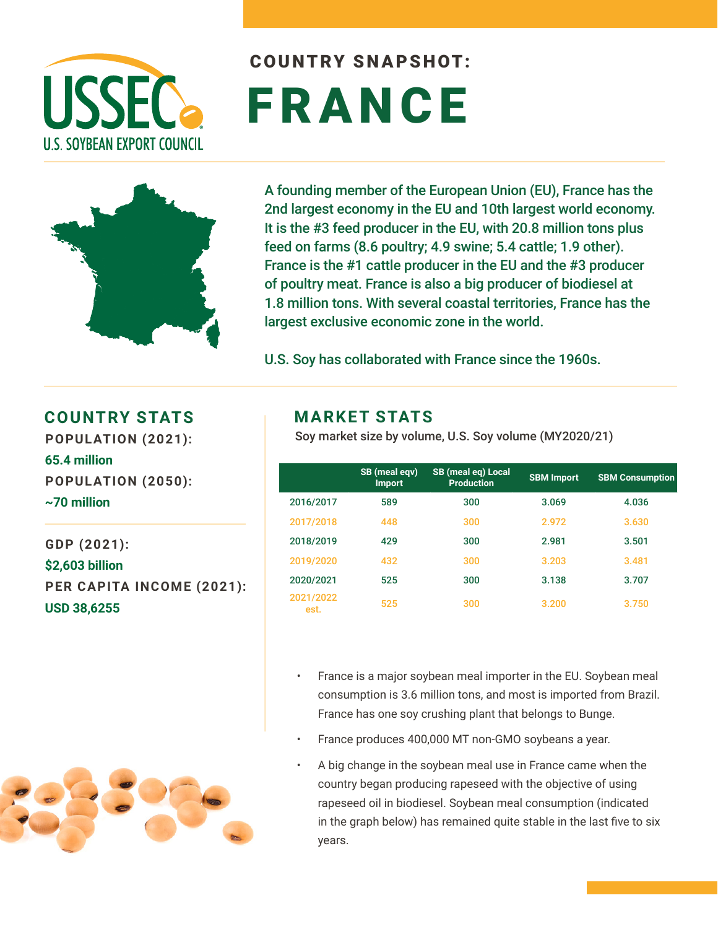

# COUNTRY SNAPSHOT: FRANCE



A founding member of the European Union (EU), France has the 2nd largest economy in the EU and 10th largest world economy. It is the #3 feed producer in the EU, with 20.8 million tons plus feed on farms (8.6 poultry; 4.9 swine; 5.4 cattle; 1.9 other). France is the #1 cattle producer in the EU and the #3 producer of poultry meat. France is also a big producer of biodiesel at 1.8 million tons. With several coastal territories, France has the largest exclusive economic zone in the world.

U.S. Soy has collaborated with France since the 1960s.

#### **COUNTRY STATS MARKET STATS**

**POPULATION (2021): 65.4 million POPULATION (2050): ~70 million** 

**GDP (2021): \$2,603 billion PER CAPITA INCOME (2021): USD 38,6255** 

Soy market size by volume, U.S. Soy volume (MY2020/21)

|                   | SB (meal eqv)<br><b>Import</b> | <b>SB</b> (meal eq) Local<br><b>Production</b> | <b>SBM Import</b> | <b>SBM Consumption</b> |
|-------------------|--------------------------------|------------------------------------------------|-------------------|------------------------|
| 2016/2017         | 589                            | 300                                            | 3.069             | 4.036                  |
| 2017/2018         | 448                            | 300                                            | 2.972             | 3.630                  |
| 2018/2019         | 429                            | 300                                            | 2.981             | 3.501                  |
| 2019/2020         | 432                            | 300                                            | 3.203             | 3.481                  |
| 2020/2021         | 525                            | 300                                            | 3.138             | 3.707                  |
| 2021/2022<br>est. | 525                            | 300                                            | 3.200             | 3.750                  |

- France is a major soybean meal importer in the EU. Soybean meal consumption is 3.6 million tons, and most is imported from Brazil. France has one soy crushing plant that belongs to Bunge.
- France produces 400,000 MT non-GMO soybeans a year.
- A big change in the soybean meal use in France came when the country began producing rapeseed with the objective of using rapeseed oil in biodiesel. Soybean meal consumption (indicated in the graph below) has remained quite stable in the last five to six years.